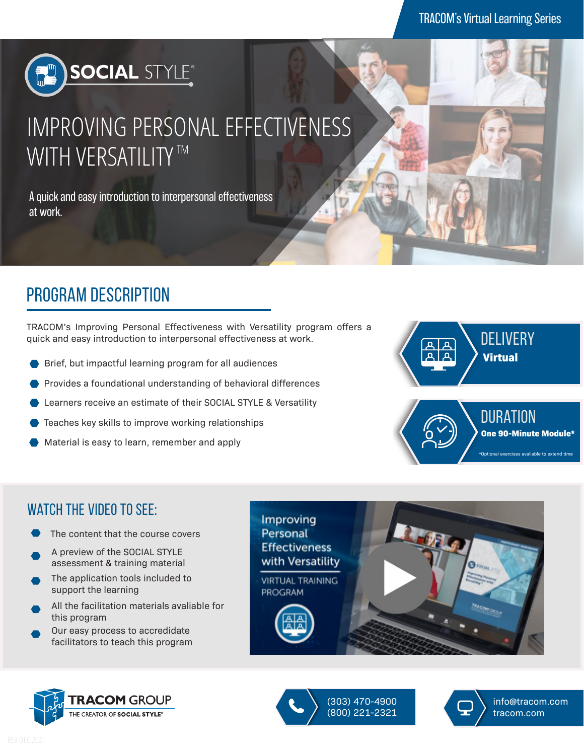

# IMPROVING PERSONAL EFFECTIVENESS WITH VERSATILITY  $^{\text{\tiny{\textsf{TM}}}}$

A quick and easy introduction to interpersonal effectiveness at work.

### program description

TRACOM's Improving Personal Effectiveness with Versatility program offers a quick and easy introduction to interpersonal effectiveness at work.

- Brief, but impactful learning program for all audiences
- Provides a foundational understanding of behavioral differences
- Learners receive an estimate of their SOCIAL STYLE & Versatility
- Teaches key skills to improve working relationships
- Material is easy to learn, remember and apply



#### WATCH THE VIDEO TO SEE:

- The content that the course covers
- A preview of the SOCIAL STYLE assessment & training material
- The application tools included to support the learning
- All the facilitation materials avaliable for this program
- Our easy process to accredidate facilitators to teach this program